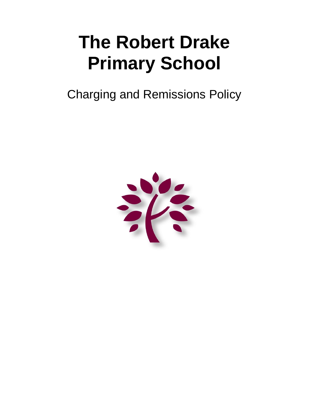# **The Robert Drake Primary School**

Charging and Remissions Policy

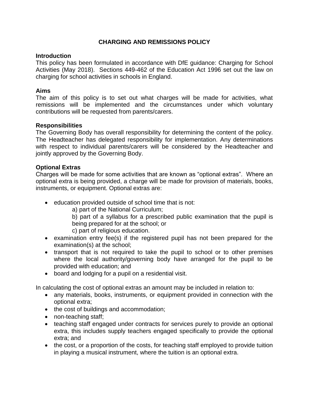# **CHARGING AND REMISSIONS POLICY**

#### **Introduction**

This policy has been formulated in accordance with DfE guidance: Charging for School Activities (May 2018). Sections 449-462 of the Education Act 1996 set out the law on charging for school activities in schools in England.

## **Aims**

The aim of this policy is to set out what charges will be made for activities, what remissions will be implemented and the circumstances under which voluntary contributions will be requested from parents/carers.

#### **Responsibilities**

The Governing Body has overall responsibility for determining the content of the policy. The Headteacher has delegated responsibility for implementation. Any determinations with respect to individual parents/carers will be considered by the Headteacher and jointly approved by the Governing Body.

#### **Optional Extras**

Charges will be made for some activities that are known as "optional extras". Where an optional extra is being provided, a charge will be made for provision of materials, books, instruments, or equipment. Optional extras are:

education provided outside of school time that is not:

a) part of the National Curriculum;

b) part of a syllabus for a prescribed public examination that the pupil is being prepared for at the school; or

- c) part of religious education.
- examination entry fee(s) if the registered pupil has not been prepared for the examination(s) at the school;
- transport that is not required to take the pupil to school or to other premises where the local authority/governing body have arranged for the pupil to be provided with education; and
- board and lodging for a pupil on a residential visit.

In calculating the cost of optional extras an amount may be included in relation to:

- any materials, books, instruments, or equipment provided in connection with the optional extra;
- the cost of buildings and accommodation;
- non-teaching staff;
- teaching staff engaged under contracts for services purely to provide an optional extra, this includes supply teachers engaged specifically to provide the optional extra; and
- the cost, or a proportion of the costs, for teaching staff employed to provide tuition in playing a musical instrument, where the tuition is an optional extra.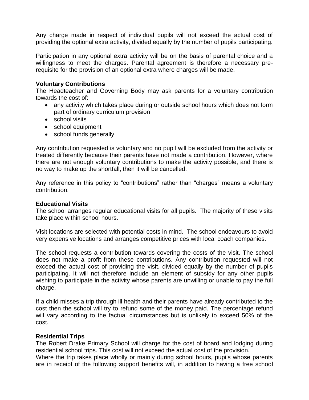Any charge made in respect of individual pupils will not exceed the actual cost of providing the optional extra activity, divided equally by the number of pupils participating.

Participation in any optional extra activity will be on the basis of parental choice and a willingness to meet the charges. Parental agreement is therefore a necessary prerequisite for the provision of an optional extra where charges will be made.

#### **Voluntary Contributions**

The Headteacher and Governing Body may ask parents for a voluntary contribution towards the cost of:

- any activity which takes place during or outside school hours which does not form part of ordinary curriculum provision
- school visits
- school equipment
- school funds generally

Any contribution requested is voluntary and no pupil will be excluded from the activity or treated differently because their parents have not made a contribution. However, where there are not enough voluntary contributions to make the activity possible, and there is no way to make up the shortfall, then it will be cancelled.

Any reference in this policy to "contributions" rather than "charges" means a voluntary contribution.

#### **Educational Visits**

The school arranges regular educational visits for all pupils. The majority of these visits take place within school hours.

Visit locations are selected with potential costs in mind. The school endeavours to avoid very expensive locations and arranges competitive prices with local coach companies.

The school requests a contribution towards covering the costs of the visit. The school does not make a profit from these contributions. Any contribution requested will not exceed the actual cost of providing the visit, divided equally by the number of pupils participating. It will not therefore include an element of subsidy for any other pupils wishing to participate in the activity whose parents are unwilling or unable to pay the full charge.

If a child misses a trip through ill health and their parents have already contributed to the cost then the school will try to refund some of the money paid. The percentage refund will vary according to the factual circumstances but is unlikely to exceed 50% of the cost.

#### **Residential Trips**

The Robert Drake Primary School will charge for the cost of board and lodging during residential school trips. This cost will not exceed the actual cost of the provision.

Where the trip takes place wholly or mainly during school hours, pupils whose parents are in receipt of the following support benefits will, in addition to having a free school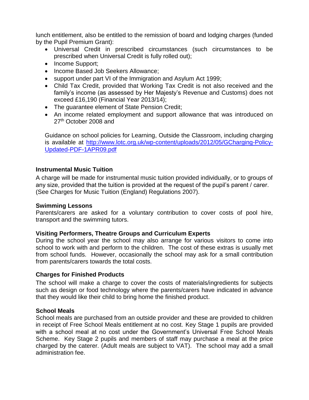lunch entitlement, also be entitled to the remission of board and lodging charges (funded by the Pupil Premium Grant):

- Universal Credit in prescribed circumstances (such circumstances to be prescribed when Universal Credit is fully rolled out);
- Income Support;
- Income Based Job Seekers Allowance;
- support under part VI of the Immigration and Asylum Act 1999;
- Child Tax Credit, provided that Working Tax Credit is not also received and the family's income (as assessed by Her Majesty's Revenue and Customs) does not exceed £16,190 (Financial Year 2013/14);
- The quarantee element of State Pension Credit;
- An income related employment and support allowance that was introduced on 27<sup>th</sup> October 2008 and

Guidance on school policies for Learning, Outside the Classroom, including charging is available at [http://www.lotc.org.uk/wp-content/uploads/2012/05/GCharging-Policy-](http://www.lotc.org.uk/wp-content/uploads/2012/05/GCharging-Policy-Updated-PDF-1APR09.pdf)[Updated-PDF-1APR09.pdf](http://www.lotc.org.uk/wp-content/uploads/2012/05/GCharging-Policy-Updated-PDF-1APR09.pdf)

# **Instrumental Music Tuition**

A charge will be made for instrumental music tuition provided individually, or to groups of any size, provided that the tuition is provided at the request of the pupil's parent / carer. (See Charges for Music Tuition (England) Regulations 2007).

## **Swimming Lessons**

Parents/carers are asked for a voluntary contribution to cover costs of pool hire, transport and the swimming tutors.

## **Visiting Performers, Theatre Groups and Curriculum Experts**

During the school year the school may also arrange for various visitors to come into school to work with and perform to the children. The cost of these extras is usually met from school funds. However, occasionally the school may ask for a small contribution from parents/carers towards the total costs.

## **Charges for Finished Products**

The school will make a charge to cover the costs of materials/ingredients for subjects such as design or food technology where the parents/carers have indicated in advance that they would like their child to bring home the finished product.

## **School Meals**

School meals are purchased from an outside provider and these are provided to children in receipt of Free School Meals entitlement at no cost. Key Stage 1 pupils are provided with a school meal at no cost under the Government's Universal Free School Meals Scheme. Key Stage 2 pupils and members of staff may purchase a meal at the price charged by the caterer. (Adult meals are subject to VAT). The school may add a small administration fee.